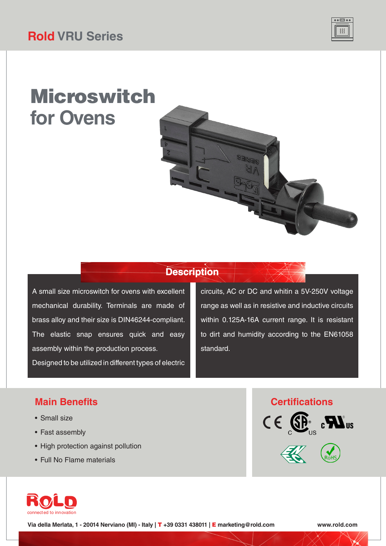

# Microswitch **for Ovens**

### **Description**

A small size microswitch for ovens with excellent mechanical durability. Terminals are made of brass alloy and their size is DIN46244-compliant. The elastic snap ensures quick and easy assembly within the production process. Designed to be utilized in different types of electric

circuits, AC or DC and whitin a 5V-250V voltage range as well as in resistive and inductive circuits within 0.125A-16A current range. It is resistant to dirt and humidity according to the EN61058 standard.

#### **Main Benefits**

- Small size
- Fast assembly
- High protection against pollution
- Full No Flame materials







**Via della Merlata, 1 - 20014 Nerviano (MI) - Italy |** T **+39 0331 438011 |** E **marketing@rold.com www.rold.com**